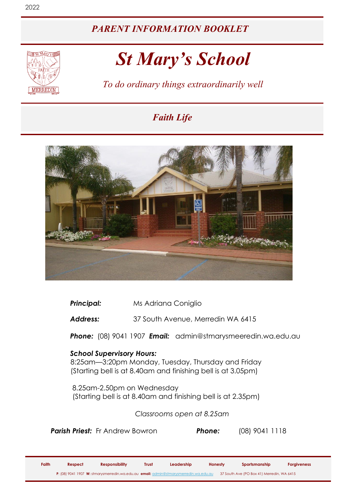### *PARENT INFORMATION BOOKLET*

# *St Mary's School*

*To do ordinary things extraordinarily well*

# *Faith Life*



**Principal:** Ms Adriana Coniglio

*Address:* 37 South Avenue, Merredin WA 6415

*Phone:* (08) 9041 1907 *Email:* admin@stmarysmeeredin.wa.edu.au

### *School Supervisory Hours:*

 8:25am—3:20pm Monday, Tuesday, Thursday and Friday (Starting bell is at 8.40am and finishing bell is at 3.05pm)

 8.25am-2.50pm on Wednesday (Starting bell is at 8.40am and finishing bell is at 2.35pm)

*Classrooms open at 8.25am*

*Parish Priest:* Fr Andrew Bowron *Phone:* (08) 9041 1118

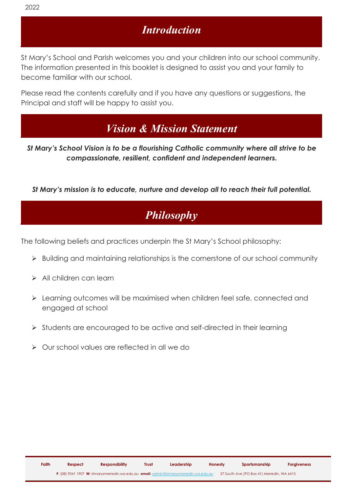### *Introduction*

St Mary's School and Parish welcomes you and your children into our school community. The information presented in this booklet is designed to assist you and your family to become familiar with our school.

Please read the contents carefully and if you have any questions or suggestions, the Principal and staff will be happy to assist you.

# *Vision & Mission Statement*

*St Mary's School Vision is to be a flourishing Catholic community where all strive to be compassionate, resilient, confident and independent learners.*

*St Mary's mission is to educate, nurture and develop all to reach their full potential.*

# *Philosophy*

The following beliefs and practices underpin the St Mary's School philosophy:

- ➢ Building and maintaining relationships is the cornerstone of our school community
- ➢ All children can learn
- ➢ Learning outcomes will be maximised when children feel safe, connected and engaged at school
- ➢ Students are encouraged to be active and self-directed in their learning
- ➢ Our school values are reflected in all we do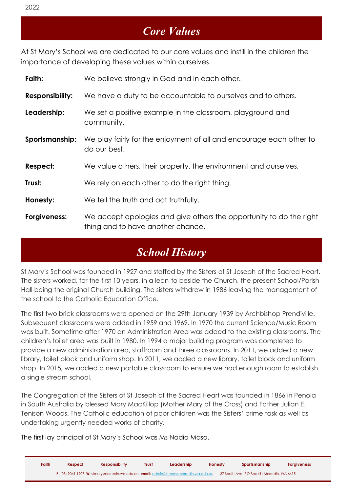### *Core Values*

At St Mary's School we are dedicated to our core values and instill in the children the importance of developing these values within ourselves.

| Faith:                 | We believe strongly in God and in each other.                                                            |
|------------------------|----------------------------------------------------------------------------------------------------------|
| <b>Responsibility:</b> | We have a duty to be accountable to ourselves and to others.                                             |
| Leadership:            | We set a positive example in the classroom, playground and<br>community.                                 |
| Sportsmanship:         | We play fairly for the enjoyment of all and encourage each other to<br>do our best.                      |
| Respect:               | We value others, their property, the environment and ourselves.                                          |
| Trust:                 | We rely on each other to do the right thing.                                                             |
| Honesty:               | We tell the truth and act truthfully.                                                                    |
| Forgiveness:           | We accept apologies and give others the opportunity to do the right<br>thing and to have another chance. |

# *School History*

St Mary's School was founded in 1927 and staffed by the Sisters of St Joseph of the Sacred Heart. The sisters worked, for the first 10 years, in a lean-to beside the Church, the present School/Parish Hall being the original Church building. The sisters withdrew in 1986 leaving the management of the school to the Catholic Education Office.

The first two brick classrooms were opened on the 29th January 1939 by Archbishop Prendiville. Subsequent classrooms were added in 1959 and 1969. In 1970 the current Science/Music Room was built. Sometime after 1970 an Administration Area was added to the existing classrooms. The children's toilet area was built in 1980. In 1994 a major building program was completed to provide a new administration area, staffroom and three classrooms. In 2011, we added a new library, toilet block and uniform shop. In 2011, we added a new library, toilet block and uniform shop. In 2015, we added a new portable classroom to ensure we had enough room to establish a single stream school.

The Congregation of the Sisters of St Joseph of the Sacred Heart was founded in 1866 in Penola in South Australia by blessed Mary MacKillop (Mother Mary of the Cross) and Father Julian E. Tenison Woods. The Catholic education of poor children was the Sisters' prime task as well as undertaking urgently needed works of charity.

The first lay principal of St Mary's School was Ms Nadia Maso.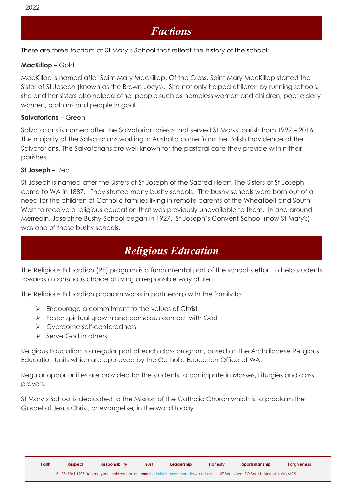### *Factions*

There are three factions at St Mary's School that reflect the history of the school:

#### **MacKillop** – Gold

MacKillop is named after Saint Mary MacKillop. Of the Cross. Saint Mary MacKillop started the Sister of St Joseph (known as the Brown Joeys). She not only helped children by running schools, she and her sisters also helped other people such as homeless woman and children, poor elderly women, orphans and people in goal.

#### **Salvatorians** – Green

Salvatorians is named after the Salvatorian priests that served St Marys' parish from 1999 – 2016. The majority of the Salvatorians working in Australia come from the Polish Providence of the Salvatorians. The Salvatorians are well known for the pastoral care they provide within their parishes.

#### **St Joseph** – Red

St Joseph is named after the Sisters of St Joseph of the Sacred Heart. The Sisters of St Joseph came to WA in 1887. They started many bushy schools. The bushy schools were born out of a need for the children of Catholic families living in remote parents of the Wheatbelt and South West to receive a religious education that was previously unavailable to them. In and around Merredin, Josephite Bushy School began in 1927. St Joseph's Convent School (now St Mary's) was one of these bushy schools.

# *Religious Education*

The Religious Education (RE) program is a fundamental part of the school's effort to help students towards a conscious choice of living a responsible way of life.

The Religious Education program works in partnership with the family to:

- ➢ Encourage a commitment to the values of Christ
- ➢ Foster spiritual growth and conscious contact with God
- ➢ Overcome self-centeredness
- ➢ Serve God in others

Religious Education is a regular part of each class program, based on the Archdiocese Religious Education Units which are approved by the Catholic Education Office of WA.

Regular opportunities are provided for the students to participate in Masses, Liturgies and class prayers.

St Mary's School is dedicated to the Mission of the Catholic Church which is to proclaim the Gospel of Jesus Christ, or evangelise, in the world today.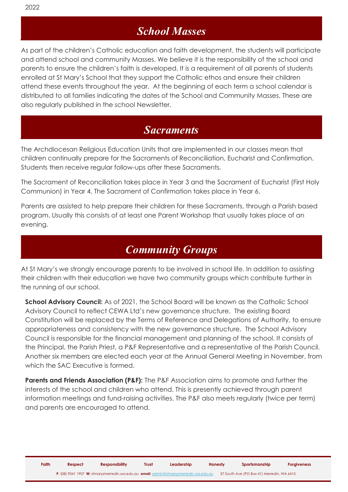# *School Masses*

As part of the children's Catholic education and faith development, the students will participate and attend school and community Masses. We believe it is the responsibility of the school and parents to ensure the children's faith is developed. It is a requirement of all parents of students enrolled at St Mary's School that they support the Catholic ethos and ensure their children attend these events throughout the year. At the beginning of each term a school calendar is distributed to all families indicating the dates of the School and Community Masses. These are also regularly published in the school Newsletter.

### *Sacraments*

The Archdiocesan Religious Education Units that are implemented in our classes mean that children continually prepare for the Sacraments of Reconciliation, Eucharist and Confirmation. Students then receive regular follow-ups after these Sacraments.

The Sacrament of Reconciliation takes place in Year 3 and the Sacrament of Eucharist (First Holy Communion) in Year 4. The Sacrament of Confirmation takes place in Year 6.

Parents are assisted to help prepare their children for these Sacraments, through a Parish based program. Usually this consists of at least one Parent Workshop that usually takes place of an evening.

### *Community Groups*

At St Mary's we strongly encourage parents to be involved in school life. In addition to assisting their children with their education we have two community groups which contribute further in the running of our school.

**School Advisory Council:** As of 2021, the School Board will be known as the Catholic School Advisory Council to reflect CEWA Ltd's new governance structure. The existing Board Constitution will be replaced by the Terms of Reference and Delegations of Authority, to ensure appropriateness and consistency with the new governance structure. The School Advisory Council is responsible for the financial management and planning of the school. It consists of the Principal, the Parish Priest, a P&F Representative and a representative of the Parish Council. Another six members are elected each year at the Annual General Meeting in November, from which the SAC Executive is formed.

**Parents and Friends Association (P&F):** The P&F Association aims to promote and further the interests of the school and children who attend. This is presently achieved through parent information meetings and fund-raising activities. The P&F also meets regularly (twice per term) and parents are encouraged to attend.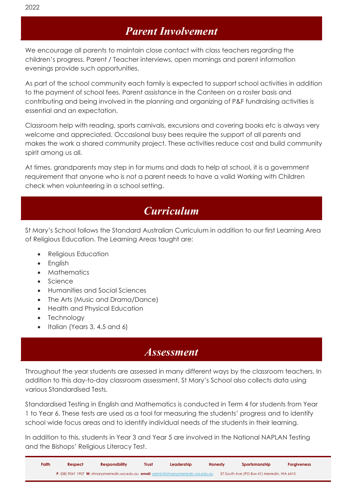We encourage all parents to maintain close contact with class teachers regarding the children's progress. Parent / Teacher interviews, open mornings and parent information evenings provide such opportunities.

As part of the school community each family is expected to support school activities in addition to the payment of school fees. Parent assistance in the Canteen on a roster basis and contributing and being involved in the planning and organizing of P&F fundraising activities is essential and an expectation.

Classroom help with reading, sports carnivals, excursions and covering books etc is always very welcome and appreciated. Occasional busy bees require the support of all parents and makes the work a shared community project. These activities reduce cost and build community spirit among us all.

At times, grandparents may step in for mums and dads to help at school, it is a government requirement that anyone who is not a parent needs to have a valid Working with Children check when volunteering in a school setting.

# *Curriculum*

St Mary's School follows the Standard Australian Curriculum in addition to our first Learning Area of Religious Education. The Learning Areas taught are:

- Religious Education
- English
- Mathematics
- Science
- Humanities and Social Sciences
- The Arts (Music and Drama/Dance)
- Health and Physical Education
- Technology
- Italian (Years 3, 4,5 and 6)

### *Assessment*

Throughout the year students are assessed in many different ways by the classroom teachers. In addition to this day-to-day classroom assessment, St Mary's School also collects data using various Standardised Tests.

Standardised Testing in English and Mathematics is conducted in Term 4 for students from Year 1 to Year 6. These tests are used as a tool for measuring the students' progress and to identify school wide focus areas and to identify individual needs of the students in their learning.

In addition to this, students in Year 3 and Year 5 are involved in the National NAPLAN Testing and the Bishops' Religious Literacy Test.

| Faith | Respect | <b>Responsibility</b> | <b>Trust</b> | Leadership                                                                            | Honesty | Sportsmanship                              | <b>Forgiveness</b> |
|-------|---------|-----------------------|--------------|---------------------------------------------------------------------------------------|---------|--------------------------------------------|--------------------|
|       |         |                       |              | P: (08) 9041 1907 W: stmarysmerredin.wa.edu.au email: admin@stmarysmerredin.wa.edu.au |         | 37 South Ave (PO Box 41) Merredin, WA 6415 |                    |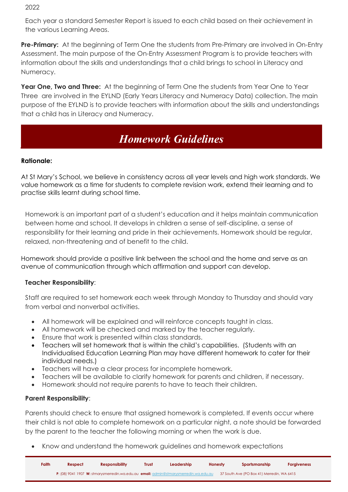Each year a standard Semester Report is issued to each child based on their achievement in the various Learning Areas.

**Pre-Primary:** At the beginning of Term One the students from Pre-Primary are involved in On-Entry Assessment. The main purpose of the On-Entry Assessment Program is to provide teachers with information about the skills and understandings that a child brings to school in Literacy and Numeracy.

**Year One, Two and Three:** At the beginning of Term One the students from Year One to Year Three are involved in the EYLND (Early Years Literacy and Numeracy Data) collection. The main purpose of the EYLND is to provide teachers with information about the skills and understandings that a child has in Literacy and Numeracy.

# *Homework Guidelines*

### **Rationale:**

At St Mary's School, we believe in consistency across all year levels and high work standards. We value homework as a time for students to complete revision work, extend their learning and to practise skills learnt during school time.

Homework is an important part of a student's education and it helps maintain communication between home and school. It develops in children a sense of self-discipline, a sense of responsibility for their learning and pride in their achievements. Homework should be regular, relaxed, non-threatening and of benefit to the child.

Homework should provide a positive link between the school and the home and serve as an avenue of communication through which affirmation and support can develop.

### **Teacher Responsibility**:

Staff are required to set homework each week through Monday to Thursday and should vary from verbal and nonverbal activities.

- All homework will be explained and will reinforce concepts taught in class.
- All homework will be checked and marked by the teacher regularly.
- Ensure that work is presented within class standards.
- Teachers will set homework that is within the child's capabilities. (Students with an Individualised Education Learning Plan may have different homework to cater for their individual needs.)
- Teachers will have a clear process for incomplete homework.
- Teachers will be available to clarify homework for parents and children, if necessary.
- Homework should not require parents to have to teach their children.

### **Parent Responsibility**:

Parents should check to ensure that assigned homework is completed. If events occur where their child is not able to complete homework on a particular night, a note should be forwarded by the parent to the teacher the following morning or when the work is due.

• Know and understand the homework guidelines and homework expectations

| Faith | Respect | <b>Responsibility</b> | <b>Trust</b> | <b>Leadership</b>                                                                     | Honesty | Sportsmanship                              | <b>Forgiveness</b> |
|-------|---------|-----------------------|--------------|---------------------------------------------------------------------------------------|---------|--------------------------------------------|--------------------|
|       |         |                       |              | P: (08) 9041 1907 W: stmarysmerredin.wa.edu.au email: admin@stmarysmerredin.wa.edu.au |         | 37 South Ave (PO Box 41) Merredin, WA 6415 |                    |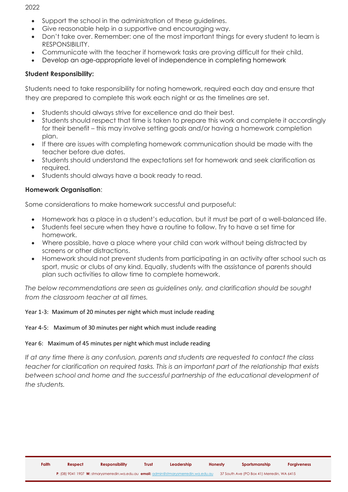- Support the school in the administration of these guidelines.
- Give reasonable help in a supportive and encouraging way.
- Don't take over. Remember: one of the most important things for every student to learn is RESPONSIBILITY.
- Communicate with the teacher if homework tasks are proving difficult for their child.
- Develop an age-appropriate level of independence in completing homework

### **Student Responsibility:**

Students need to take responsibility for noting homework, required each day and ensure that they are prepared to complete this work each night or as the timelines are set.

- Students should always strive for excellence and do their best.
- Students should respect that time is taken to prepare this work and complete it accordingly for their benefit – this may involve setting goals and/or having a homework completion plan.
- If there are issues with completing homework communication should be made with the teacher before due dates.
- Students should understand the expectations set for homework and seek clarification as required.
- Students should always have a book ready to read.

### **Homework Organisation**:

Some considerations to make homework successful and purposeful:

- Homework has a place in a student's education, but it must be part of a well-balanced life.
- Students feel secure when they have a routine to follow. Try to have a set time for homework.
- Where possible, have a place where your child can work without being distracted by screens or other distractions.
- Homework should not prevent students from participating in an activity after school such as sport, music or clubs of any kind. Equally, students with the assistance of parents should plan such activities to allow time to complete homework.

*The below recommendations are seen as guidelines only, and clarification should be sought from the classroom teacher at all times.* 

### Year 1-3: Maximum of 20 minutes per night which must include reading

### Year 4-5: Maximum of 30 minutes per night which must include reading

### Year 6: Maximum of 45 minutes per night which must include reading

*If at any time there is any confusion, parents and students are requested to contact the class teacher for clarification on required tasks. This is an important part of the relationship that exists between school and home and the successful partnership of the educational development of the students.*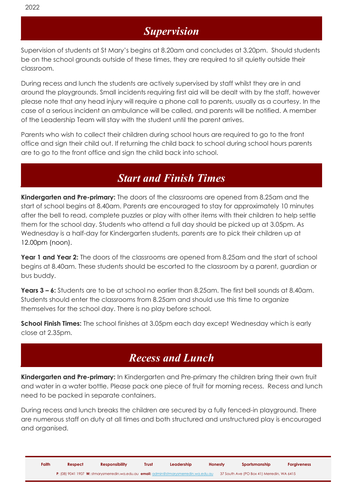Supervision of students at St Mary's begins at 8.20am and concludes at 3.20pm. Should students be on the school grounds outside of these times, they are required to sit quietly outside their classroom.

During recess and lunch the students are actively supervised by staff whilst they are in and around the playgrounds. Small incidents requiring first aid will be dealt with by the staff, however please note that any head injury will require a phone call to parents, usually as a courtesy. In the case of a serious incident an ambulance will be called, and parents will be notified. A member of the Leadership Team will stay with the student until the parent arrives.

Parents who wish to collect their children during school hours are required to go to the front office and sign their child out. If returning the child back to school during school hours parents are to go to the front office and sign the child back into school.

# *Start and Finish Times*

**Kindergarten and Pre-primary:** The doors of the classrooms are opened from 8.25am and the start of school begins at 8.40am. Parents are encouraged to stay for approximately 10 minutes after the bell to read, complete puzzles or play with other items with their children to help settle them for the school day. Students who attend a full day should be picked up at 3.05pm. As Wednesday is a half-day for Kindergarten students, parents are to pick their children up at 12.00pm (noon).

**Year 1 and Year 2:** The doors of the classrooms are opened from 8.25am and the start of school begins at 8.40am. These students should be escorted to the classroom by a parent, guardian or bus buddy.

**Years 3 – 6:** Students are to be at school no earlier than 8.25am. The first bell sounds at 8.40am. Students should enter the classrooms from 8.25am and should use this time to organize themselves for the school day. There is no play before school.

**School Finish Times:** The school finishes at 3.05pm each day except Wednesday which is early close at 2.35pm.

# *Recess and Lunch*

**Kindergarten and Pre-primary:** In Kindergarten and Pre-primary the children bring their own fruit and water in a water bottle. Please pack one piece of fruit for morning recess. Recess and lunch need to be packed in separate containers.

During recess and lunch breaks the children are secured by a fully fenced-in playground. There are numerous staff on duty at all times and both structured and unstructured play is encouraged and organised.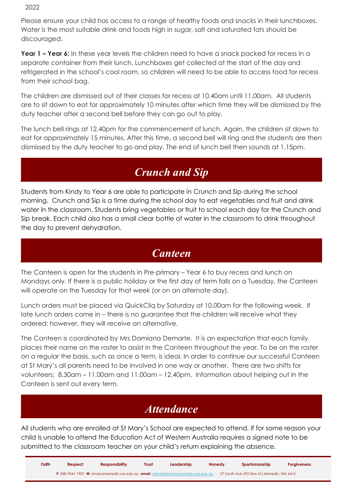Please ensure your child has access to a range of healthy foods and snacks in their lunchboxes. Water is the most suitable drink and foods high in sugar, salt and saturated fats should be discouraged.

**Year 1 – Year 6:** In these year levels the children need to have a snack packed for recess in a separate container from their lunch. Lunchboxes get collected at the start of the day and refrigerated in the school's cool room, so children will need to be able to access food for recess from their school bag.

The children are dismissed out of their classes for recess at 10.40am until 11.00am. All students are to sit down to eat for approximately 10 minutes after which time they will be dismissed by the duty teacher after a second bell before they can go out to play.

The lunch bell rings at 12.40pm for the commencement of lunch. Again, the children sit down to eat for approximately 15 minutes. After this time, a second bell will ring and the students are then dismissed by the duty teacher to go and play. The end of lunch bell then sounds at 1.15pm.

# *Crunch and Sip*

Students from Kindy to Year 6 are able to participate in Crunch and Sip during the school morning. Crunch and Sip is a time during the school day to eat vegetables and fruit and drink water in the classroom. Students bring vegetables or fruit to school each day for the Crunch and Sip break. Each child also has a small clear bottle of water in the classroom to drink throughout the day to prevent dehydration.

## *Canteen*

The Canteen is open for the students in Pre-primary – Year 6 to buy recess and lunch on Mondays only. If there is a public holiday or the first day of term falls on a Tuesday, the Canteen will operate on the Tuesday for that week (or on an alternate day).

Lunch orders must be placed via QuickCliq by Saturday at 10.00am for the following week. If late lunch orders come in – there is no guarantee that the children will receive what they ordered; however, they will receive an alternative.

The Canteen is coordinated by Mrs Damiana Demarte. It is an expectation that each family places their name on the roster to assist in the Canteen throughout the year. To be on the roster on a regular the basis, such as once a term, is ideal. In order to continue our successful Canteen at St Mary's all parents need to be involved in one way or another. There are two shifts for volunteers: 8.30am – 11.00am and 11.00am – 12.40pm. Information about helping out in the Canteen is sent out every term.

# *Attendance*

All students who are enrolled at St Mary's School are expected to attend. If for some reason your child is unable to attend the Education Act of Western Australia requires a signed note to be submitted to the classroom teacher on your child's return explaining the absence.

| Faith | Respect | <b>Responsibility</b>                                                                        | Trust | Leadership | Honesty | Sportsmanship                              | <b>Forgiveness</b> |
|-------|---------|----------------------------------------------------------------------------------------------|-------|------------|---------|--------------------------------------------|--------------------|
|       |         | <b>P:</b> (08) 9041 1907 W: stmarvsmerredin.wa.edu.au email: admin@stmarvsmerredin.wa.edu.au |       |            |         | 37 South Ave (PO Box 41) Merredin, WA 6415 |                    |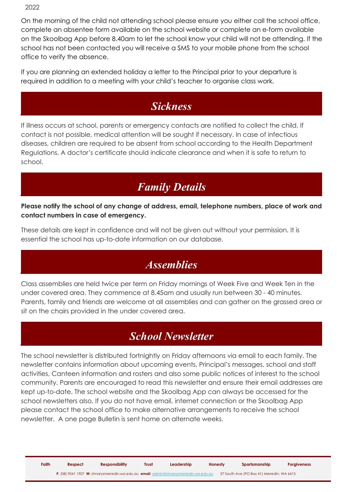On the morning of the child not attending school please ensure you either call the school office, complete an absentee form available on the school website or complete an e-form available on the Skoolbag App before 8.40am to let the school know your child will not be attending. If the school has not been contacted you will receive a SMS to your mobile phone from the school office to verify the absence.

If you are planning an extended holiday a letter to the Principal prior to your departure is required in addition to a meeting with your child's teacher to organise class work.

# *Sickness*

If illness occurs at school, parents or emergency contacts are notified to collect the child. If contact is not possible, medical attention will be sought if necessary. In case of infectious diseases, children are required to be absent from school according to the Health Department Regulations. A doctor's certificate should indicate clearance and when it is safe to return to school.

# *Family Details*

### **Please notify the school of any change of address, email, telephone numbers, place of work and contact numbers in case of emergency.**

These details are kept in confidence and will not be given out without your permission. It is essential the school has up-to-date information on our database.

# *Assemblies*

Class assemblies are held twice per term on Friday mornings of Week Five and Week Ten in the under covered area. They commence at 8.45am and usually run between 30 - 40 minutes. Parents, family and friends are welcome at all assemblies and can gather on the grassed area or sit on the chairs provided in the under covered area.

# *School Newsletter*

The school newsletter is distributed fortnightly on Friday afternoons via email to each family. The newsletter contains information about upcoming events, Principal's messages, school and staff activities, Canteen information and rosters and also some public notices of interest to the school community. Parents are encouraged to read this newsletter and ensure their email addresses are kept up-to-date. The school website and the Skoolbag App can always be accessed for the school newsletters also. If you do not have email, internet connection or the Skoolbag App please contact the school office to make alternative arrangements to receive the school newsletter. A one page Bulletin is sent home on alternate weeks.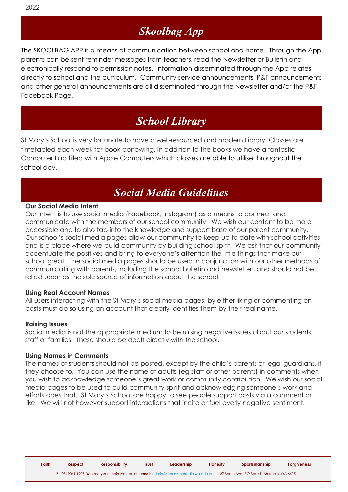# *Skoolbag App*

The SKOOLBAG APP is a means of communication between school and home. Through the App parents can be sent reminder messages from teachers, read the Newsletter or Bulletin and electronically respond to permission notes. Information disseminated through the App relates directly to school and the curriculum. Community service announcements, P&F announcements and other general announcements are all disseminated through the Newsletter and/or the P&F Facebook Page.

# *School Library*

St Mary's School is very fortunate to have a well-resourced and modern Library. Classes are timetabled each week for book borrowing. In addition to the books we have a fantastic Computer Lab filled with Apple Computers which classes are able to utilise throughout the school day.

# *Social Media Guidelines*

### **Our Social Media Intent**

Our intent is to use social media (Facebook, Instagram) as a means to connect and communicate with the members of our school community. We wish our content to be more accessible and to also tap into the knowledge and support base of our parent community. Our school's social media pages allow our community to keep up to date with school activities and is a place where we build community by building school spirit. We ask that our community accentuate the positives and bring to everyone's attention the little things that make our school great. The social media pages should be used in conjunction with our other methods of communicating with parents, including the school bulletin and newsletter, and should not be relied upon as the sole source of information about the school.

### **Using Real Account Names**

All users interacting with the St Mary's social media pages, by either liking or commenting on posts must do so using an account that clearly identifies them by their real name.

### **Raising Issues**

Social media is not the appropriate medium to be raising negative issues about our students, staff or families. These should be dealt directly with the school.

#### **Using Names in Comments**

The names of students should not be posted, except by the child's parents or legal guardians, if they choose to. You can use the name of adults (eg staff or other parents) in comments when you wish to acknowledge someone's great work or community contribution. We wish our social media pages to be used to build community spirit and acknowledging someone's work and efforts does that. St Mary's School are happy to see people support posts via a comment or like. We will not however support interactions that incite or fuel overly negative sentiment.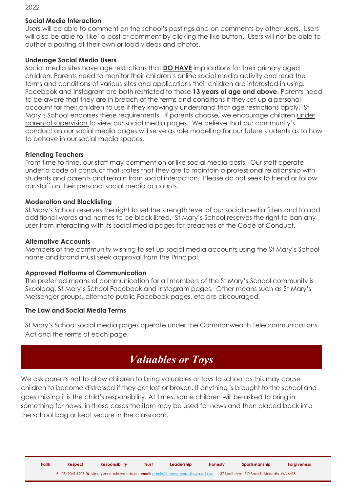### **Social Media Interaction**

Users will be able to comment on the school's postings and on comments by other users. Users will also be able to 'like' a post or comment by clicking the like button. Users will not be able to author a posting of their own or load videos and photos.

### **Underage Social Media Users**

Social media sites have age restrictions that **DO HAVE** implications for their primary aged children. Parents need to monitor their children's online social media activity and read the terms and conditions of various sites and applications their children are interested in using. Facebook and Instagram are both restricted to those **13 years of age and above**. Parents need to be aware that they are in breach of the terms and conditions if they set up a personal account for their children to use if they knowingly understand that age restrictions apply. St Mary's School endorses these requirements. If parents choose, we encourage children under parental supervision to view our social media pages. We believe that our community's conduct on our social media pages will serve as role modelling for our future students as to how to behave in our social media spaces.

### **Friending Teachers**

From time to time, our staff may comment on or like social media posts. Our staff operate under a code of conduct that states that they are to maintain a professional relationship with students and parents and refrain from social interaction. Please do not seek to friend or follow our staff on their personal social media accounts.

### **Moderation and Blocklisting**

St Mary's School reserves the right to set the strength level of our social media filters and to add additional words and names to be block listed. St Mary's School reserves the right to ban any user from interacting with its social media pages for breaches of the Code of Conduct.

### **Alternative Accounts**

Members of the community wishing to set up social media accounts using the St Mary's School name and brand must seek approval from the Principal.

### **Approved Platforms of Communication**

The preferred means of communication for all members of the St Mary's School community is Skoolbag, St Mary's School Facebook and Instagram pages. Other means such as St Mary's Messenaer aroups, alternate public Facebook pages, etc are discouraged.

### **The Law and Social Media Terms**

St Mary's School social media pages operate under the Commonwealth Telecommunications Act and the terms of each page.

## *Valuables or Toys*

We ask parents not to allow children to bring valuables or toys to school as this may cause children to become distressed if they get lost or broken. If anything is brought to the school and goes missing it is the child's responsibility. At times, some children will be asked to bring in something for news, in these cases the item may be used for news and then placed back into the school bag or kept secure in the classroom.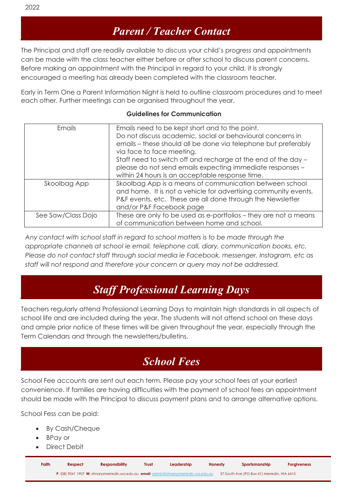The Principal and staff are readily available to discuss your child's progress and appointments can be made with the class teacher either before or after school to discuss parent concerns. Before making an appointment with the Principal in regard to your child, it is strongly encouraged a meeting has already been completed with the classroom teacher.

Early in Term One a Parent Information Night is held to outline classroom procedures and to meet each other. Further meetings can be organised throughout the year.

### **Guidelines for Communication**

| Emails             | Emails need to be kept short and to the point.<br>Do not discuss academic, social or behavioural concerns in<br>emails – these should all be done via telephone but preferably<br>via face to face meeting.<br>Staff need to switch off and recharge at the end of the day -<br>please do not send emails expecting immediate responses -<br>within 24 hours is an acceptable response time. |
|--------------------|----------------------------------------------------------------------------------------------------------------------------------------------------------------------------------------------------------------------------------------------------------------------------------------------------------------------------------------------------------------------------------------------|
| Skoolbag App       | Skoolbag App is a means of communication between school<br>and home. It is not a vehicle for advertising community events,<br>P&F events, etc. These are all done through the Newsletter<br>and/or P&F Facebook page                                                                                                                                                                         |
| See Saw/Class Dojo | These are only to be used as e-portfolios - they are not a means<br>of communication between home and school.                                                                                                                                                                                                                                                                                |

*Any contact with school staff in regard to school matters is to be made through the appropriate channels at school ie email, telephone call, diary, communication books, etc. Please do not contact staff through social media ie Facebook, messenger, Instagram, etc as staff will not respond and therefore your concern or query may not be addressed.*

# *Staff Professional Learning Days*

Teachers regularly attend Professional Learning Days to maintain high standards in all aspects of school life and are included during the year. The students will not attend school on these days and ample prior notice of these times will be given throughout the year, especially through the Term Calendars and through the newsletters/bulletins.

# *School Fees*

School Fee accounts are sent out each term. Please pay your school fees at your earliest convenience. If families are having difficulties with the payment of school fees an appointment should be made with the Principal to discuss payment plans and to arrange alternative options.

School Fess can be paid:

- By Cash/Cheque
- BPay or
- Direct Debit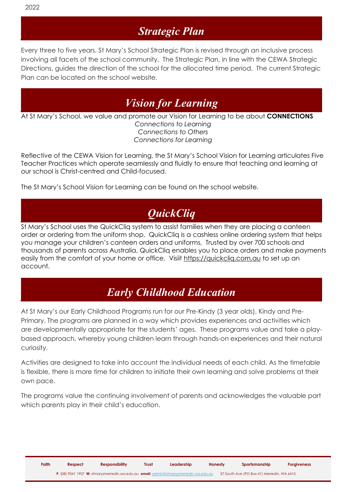# *Strategic Plan*

Every three to five years, St Mary's School Strategic Plan is revised through an inclusive process involving all facets of the school community. The Strategic Plan, in line with the CEWA Strategic Directions, guides the direction of the school for the allocated time period. The current Strategic Plan can be located on the school website.

# *Vision for Learning*

At St Mary's School, we value and promote our Vision for Learning to be about **CONNECTIONS** *Connections to Learning Connections to Others Connections for Learning*

Reflective of the CEWA Vision for Learning, the St Mary's School Vision for Learning articulates Five Teacher Practices which operate seamlessly and fluidly to ensure that teaching and learning at our school is Christ-centred and Child-focused.

The St Mary's School Vision for Learning can be found on the school website.

# *QuickCliq*

St Mary's School uses the QuickCliq system to assist families when they are placing a canteen order or ordering from the uniform shop. QuickCliq is a cashless online ordering system that helps you manage your children's canteen orders and uniforms, Trusted by over 700 schools and thousands of parents across Australia, QuickCliq enables you to place orders and make payments easily from the comfort of your home or office. Visiit [https://quickcliq.com.au](https://quickcliq.com.au/) to set up an account.

# *Early Childhood Education*

At St Mary's our Early Childhood Programs run for our Pre-Kindy (3 year olds), Kindy and Pre-Primary. The programs are planned in a way which provides experiences and activities which are developmentally appropriate for the students' ages. These programs value and take a playbased approach, whereby young children learn through hands-on experiences and their natural curiosity.

Activities are designed to take into account the individual needs of each child. As the timetable is flexible, there is more time for children to initiate their own learning and solve problems at their own pace.

The programs value the continuing involvement of parents and acknowledges the valuable part which parents play in their child's education.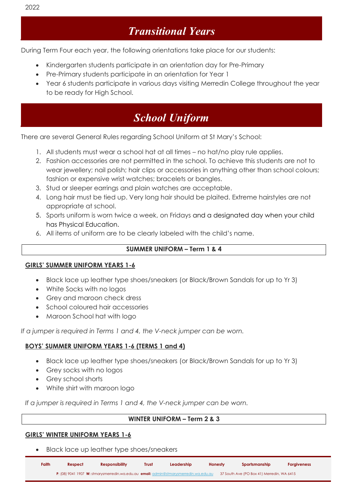# *Transitional Years*

During Term Four each year, the following orientations take place for our students:

- Kindergarten students participate in an orientation day for Pre-Primary
- Pre-Primary students participate in an orientation for Year 1
- Year 6 students participate in various days visiting Merredin College throughout the year to be ready for High School.

# *School Uniform*

There are several General Rules regarding School Uniform at St Mary's School:

- 1. All students must wear a school hat at all times no hat/no play rule applies.
- 2. Fashion accessories are not permitted in the school. To achieve this students are not to wear jewellery; nail polish; hair clips or accessories in anything other than school colours; fashion or expensive wrist watches; bracelets or bangles.
- 3. Stud or sleeper earrings and plain watches are acceptable.
- 4. Long hair must be tied up. Very long hair should be plaited. Extreme hairstyles are not appropriate at school.
- 5. Sports uniform is worn twice a week, on Fridays and a designated day when your child has Physical Education.
- 6. All items of uniform are to be clearly labeled with the child's name.

### **SUMMER UNIFORM – Term 1 & 4**

### **GIRLS' SUMMER UNIFORM YEARS 1-6**

- Black lace up leather type shoes/sneakers (or Black/Brown Sandals for up to Yr 3)
- White Socks with no logos
- Grey and maroon check dress
- School coloured hair accessories
- Maroon School hat with logo

*If a jumper is required in Terms 1 and 4, the V-neck jumper can be worn.*

### **BOYS' SUMMER UNIFORM YEARS 1-6 (TERMS 1 and 4)**

- Black lace up leather type shoes/sneakers (or Black/Brown Sandals for up to Yr 3)
- Grey socks with no logos
- Grey school shorts
- White shirt with maroon logo

*If a jumper is required in Terms 1 and 4, the V-neck jumper can be worn.*

### **WINTER UNIFORM – Term 2 & 3**

### **GIRLS' WINTER UNIFORM YEARS 1-6**

• Black lace up leather type shoes/sneakers

| Faith | Respect | <b>Responsibility</b>                                                                 | <b>Trust</b> | Leadership | Honesty | Sportsmanship                              | <b>Forgiveness</b> |
|-------|---------|---------------------------------------------------------------------------------------|--------------|------------|---------|--------------------------------------------|--------------------|
|       |         | P: (08) 9041 1907 W: stmarysmerredin.wa.edu.au email: admin@stmarysmerredin.wa.edu.au |              |            |         | 37 South Ave (PO Box 41) Merredin, WA 6415 |                    |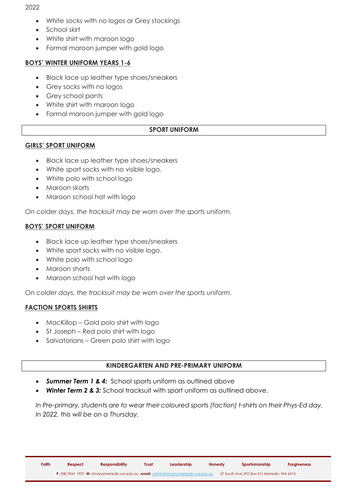- White socks with no logos or Grey stockings
- School skirt
- White shirt with maroon logo
- Formal maroon jumper with gold logo

### **BOYS' WINTER UNIFORM YEARS 1-6**

- Black lace up leather type shoes/sneakers
- Grey socks with no logos
- Grey school pants
- White shirt with maroon logo
- Formal maroon jumper with gold logo

### **SPORT UNIFORM**

### **GIRLS' SPORT UNIFORM**

- Black lace up leather type shoes/sneakers
- White sport socks with no visible logo.
- White polo with school logo
- Maroon skorts
- Maroon school hat with logo

*On colder days, the tracksuit may be worn over the sports uniform.* 

### **BOYS' SPORT UNIFORM**

- Black lace up leather type shoes/sneakers
- White sport socks with no visible logo.
- White polo with school logo
- Maroon shorts
- Maroon school hat with logo

*On colder days, the tracksuit may be worn over the sports uniform.* 

### **FACTION SPORTS SHIRTS**

- MacKillop Gold polo shirt with logo
- St Joseph Red polo shirt with logo
- Salvatorians Green polo shirt with logo

### **KINDERGARTEN AND PRE-PRIMARY UNIFORM**

- *Summer Term 1 & 4:* School sports uniform as outlined above
- **Winter Term 2 & 3:** School tracksuit with sport uniform as outlined above.

*In Pre-primary, students are to wear their coloured sports (faction) t-shirts on their Phys-Ed day. In 2022, this will be on a Thursday.*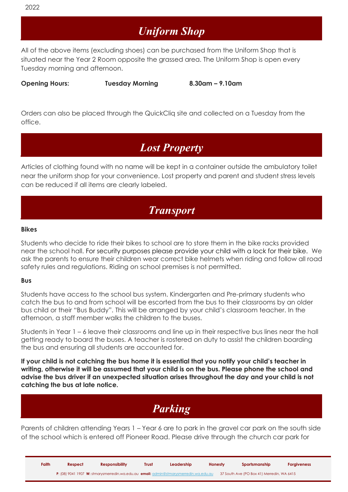# *Uniform Shop*

All of the above items (excluding shoes) can be purchased from the Uniform Shop that is situated near the Year 2 Room opposite the grassed area. The Uniform Shop is open every Tuesday morning and afternoon.

**Opening Hours: Tuesday Morning 8.30am – 9.10am**

Orders can also be placed through the QuickCliq site and collected on a Tuesday from the office.

### *Lost Property*

Articles of clothing found with no name will be kept in a container outside the ambulatory toilet near the uniform shop for your convenience. Lost property and parent and student stress levels can be reduced if all items are clearly labeled.

## *Transport*

#### **Bikes**

Students who decide to ride their bikes to school are to store them in the bike racks provided near the school hall. For security purposes please provide your child with a lock for their bike. We ask the parents to ensure their children wear correct bike helmets when riding and follow all road safety rules and regulations. Riding on school premises is not permitted.

#### **Bus**

Students have access to the school bus system. Kindergarten and Pre-primary students who catch the bus to and from school will be escorted from the bus to their classrooms by an older bus child or their "Bus Buddy". This will be arranged by your child's classroom teacher. In the afternoon, a staff member walks the children to the buses.

Students in Year 1 – 6 leave their classrooms and line up in their respective bus lines near the hall getting ready to board the buses. A teacher is rostered on duty to assist the children boarding the bus and ensuring all students are accounted for.

**If your child is not catching the bus home it is essential that you notify your child's teacher in writing, otherwise it will be assumed that your child is on the bus. Please phone the school and advise the bus driver if an unexpected situation arises throughout the day and your child is not catching the bus at late notice.** 

# *Parking*

Parents of children attending Years 1 – Year 6 are to park in the gravel car park on the south side of the school which is entered off Pioneer Road. Please drive through the church car park for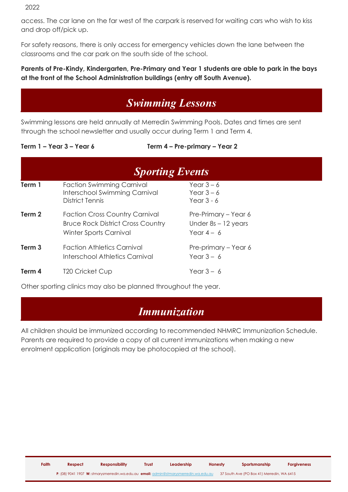access. The car lane on the far west of the carpark is reserved for waiting cars who wish to kiss and drop off/pick up.

For safety reasons, there is only access for emergency vehicles down the lane between the classrooms and the car park on the south side of the school.

### **Parents of Pre-Kindy, Kindergarten, Pre-Primary and Year 1 students are able to park in the bays at the front of the School Administration buildings (entry off South Avenue).**

# *Swimming Lessons*

Swimming lessons are held annually at Merredin Swimming Pools. Dates and times are sent through the school newsletter and usually occur during Term 1 and Term 4.

**Term 1 – Year 3 – Year 6 Term 4 – Pre-primary – Year 2**

|                   | <b>Sporting Events</b>                                                                                      |                                                               |  |
|-------------------|-------------------------------------------------------------------------------------------------------------|---------------------------------------------------------------|--|
| Term 1            | <b>Faction Swimming Carnival</b><br>Interschool Swimming Carnival<br><b>District Tennis</b>                 | Year $3-6$<br>Year $3-6$<br>Year $3 - 6$                      |  |
| Term <sub>2</sub> | <b>Faction Cross Country Carnival</b><br><b>Bruce Rock District Cross Country</b><br>Winter Sports Carnival | Pre-Primary – Year 6<br>Under $8s - 12$ years<br>Year $4 - 6$ |  |
| Term <sub>3</sub> | <b>Faction Athletics Carnival</b><br>Interschool Athletics Carnival                                         | Pre-primary – Year 6<br>Year $3 - 6$                          |  |
| Term 4            | <b>T20 Cricket Cup</b>                                                                                      | Year $3-6$                                                    |  |

Other sporting clinics may also be planned throughout the year.

## *Immunization*

All children should be immunized according to recommended NHMRC Immunization Schedule. Parents are required to provide a copy of all current immunizations when making a new enrolment application (originals may be photocopied at the school).